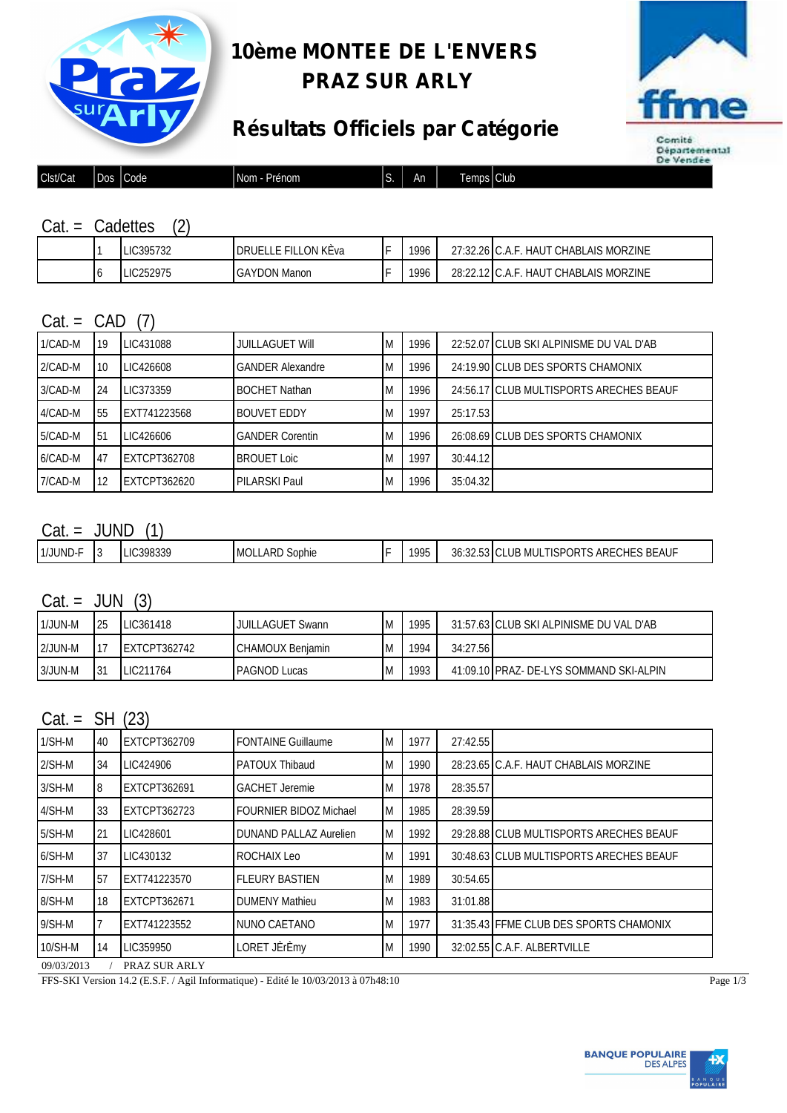

### **10ème MONTEE DE L'ENVERS PRAZ SUR ARLY**





| Clst/Cat | _<br>ے م<br>יי<br>,,, | Code <sup>1</sup> | Nom<br>Prénom | C<br>.د ا | An | −<br>∣amns I<br>וטוו<br>. | .<br>Club |
|----------|-----------------------|-------------------|---------------|-----------|----|---------------------------|-----------|
|          |                       |                   |               |           |    |                           |           |

|  | :adettes            |  |
|--|---------------------|--|
|  | $\bigcap_{n=1}^{n}$ |  |

|   | LIC395732                      | LON KÈva<br><b>FILL</b><br>'druel | - | 1996 | ີ <sup>ລາ</sup> 32.26 L.A. | CHABLAIS MORZINE<br>HAU. |
|---|--------------------------------|-----------------------------------|---|------|----------------------------|--------------------------|
| U | 52975<br>LIC<br>,,<br>2027 I J | <b>GAYDON Manon</b>               |   | 1996 | 28.2212                    | CHABLAIS MORZINE<br>HAU  |

#### $Cat = CAD (7)$

| 1/CAD-M | 19 | LIC431088    | <b>JUILLAGUET WIII</b> | ıм | 1996 |          | 22:52.07 CLUB SKI ALPINISME DU VAL D'AB |
|---------|----|--------------|------------------------|----|------|----------|-----------------------------------------|
| 2/CAD-M | 10 | LIC426608    | GANDER Alexandre       | IΜ | 1996 |          | 24:19.90 CLUB DES SPORTS CHAMONIX       |
| 3/CAD-M | 24 | LIC373359    | <b>BOCHET Nathan</b>   | IΜ | 1996 |          | 24:56.17 CLUB MULTISPORTS ARECHES BEAUF |
| 4/CAD-M | 55 | EXT741223568 | BOUVET EDDY            | IМ | 1997 | 25:17.53 |                                         |
| 5/CAD-M | 51 | LIC426606    | <b>GANDER Corentin</b> | IΜ | 1996 |          | 26:08.69 CLUB DES SPORTS CHAMONIX       |
| 6/CAD-M | 47 | EXTCPT362708 | <b>BROUET Loic</b>     | IΜ | 1997 | 30:44.12 |                                         |
| 7/CAD-M | 12 | EXTCPT362620 | PILARSKI Paul          | IΜ | 1996 | 35:04.32 |                                         |

#### $Cat = JUND (1)$

| 1/JUND- | $\ddot{\phantom{a}}$ | 0.200225<br>-zuv<br>170J.J | ⊥ARD <sup>∩</sup><br>l Mol<br>Sophie | 1005<br>. | $\sim$<br>$\sim$<br>$\mathbf{z}$<br>311<br>JU.JZ | <b>BEAUF</b><br>UB<br>אי<br>$\cdot$ > ARF $\overline{ }$<br>'יהי<br>`HF.<br>, MUL<br>JR'<br>. I I.SF |
|---------|----------------------|----------------------------|--------------------------------------|-----------|--------------------------------------------------|------------------------------------------------------------------------------------------------------|
|         |                      |                            |                                      |           |                                                  |                                                                                                      |

#### $Cat = JUN (3)$

| 1/JUN-M   | 25       | LIC361418    | <b>JUILLAGUET Swann</b>  | Iм  | 1995 |          | 31:57.63 CLUB SKI ALPINISME DU VAL D'AB  |
|-----------|----------|--------------|--------------------------|-----|------|----------|------------------------------------------|
| $2/JUN-M$ |          | EXTCPT362742 | <b>ICHAMOUX Benjamin</b> | IM. | 1994 | 34:27.56 |                                          |
| 3/JUN-M   | -21<br>ັ | LIC211764    | <b>PAGNOD Lucas</b>      | Iм  | 1993 |          | 41:09.10 PRAZ - DE-LYS SOMMAND SKI-ALPIN |

#### $Cat = SH (23)$

| $1/SH-M$ | 40 | <b>EXTCPT362709</b> | <b>FONTAINE Guillaume</b>     | ΙM | 1977 | 27:42.55 |                                         |
|----------|----|---------------------|-------------------------------|----|------|----------|-----------------------------------------|
| $2/SH-M$ | 34 | LIC424906           | <b>PATOUX Thibaud</b>         | ΙM | 1990 |          | 28:23.65 C.A.F. HAUT CHABLAIS MORZINE   |
| $3/SH-M$ | 8  | <b>EXTCPT362691</b> | <b>GACHET Jeremie</b>         | ΙM | 1978 | 28:35.57 |                                         |
| $4/SH-M$ | 33 | <b>EXTCPT362723</b> | <b>FOURNIER BIDOZ Michael</b> | ΙM | 1985 | 28:39.59 |                                         |
| 5/SH-M   | 21 | LIC428601           | <b>DUNAND PALLAZ Aurelien</b> | ΙM | 1992 |          | 29:28.88 CLUB MULTISPORTS ARECHES BEAUF |
| $6/SH-M$ | 37 | LIC430132           | <b>ROCHAIX Leo</b>            | ΙM | 1991 |          | 30:48.63 CLUB MULTISPORTS ARECHES BEAUF |
| $7/SH-M$ | 57 | EXT741223570        | <b>FLEURY BASTIEN</b>         | ΙM | 1989 | 30:54.65 |                                         |
| 8/SH-M   | 18 | <b>EXTCPT362671</b> | <b>DUMENY Mathieu</b>         | ΙM | 1983 | 31:01.88 |                                         |
| $9/SH-M$ |    | EXT741223552        | INUNO CAETANO                 | ΙM | 1977 |          | 31:35.43 FFME CLUB DES SPORTS CHAMONIX  |
| 10/SH-M  | 14 | LIC359950           | LORET JÈrÈmy                  | ΙM | 1990 |          | 32:02.55 C.A.F. ALBERTVILLE             |

09/03/2013 / PRAZ SUR ARLY

FFS-SKI Version 14.2 (E.S.F. / Agil Informatique) - Edité le 10/03/2013 à 07h48:10 Page 1/3

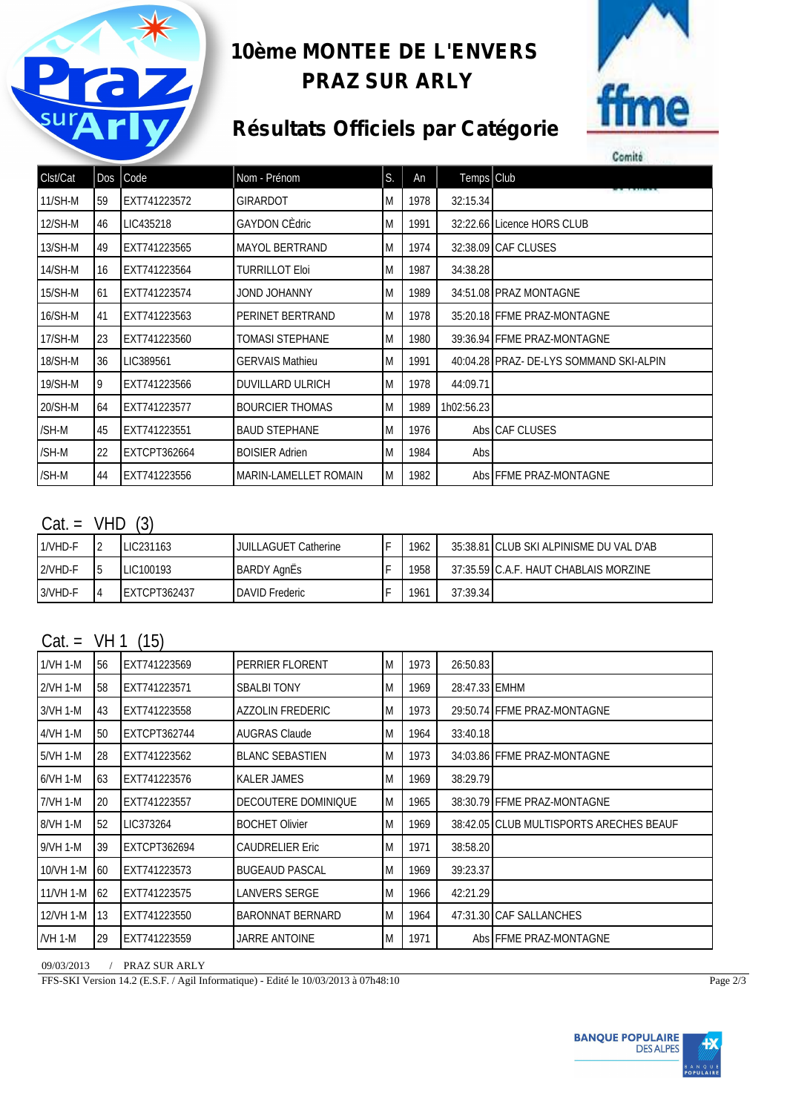

### **10ème MONTEE DE L'ENVERS PRAZ SUR ARLY**



## **Résultats Officiels par Catégorie**

| Comité |  |  |  |
|--------|--|--|--|

| Clst/Cat  |    | $Dos$ $Code$        | Nom - Prénom                 | S. | An   | Temps Club |                                         |
|-----------|----|---------------------|------------------------------|----|------|------------|-----------------------------------------|
| $11/SH-M$ | 59 | EXT741223572        | GIRARDOT                     | M  | 1978 | 32:15.34   |                                         |
| 12/SH-M   | 46 | LIC435218           | <b>GAYDON CEdric</b>         | M  | 1991 |            | 32:22.66 Licence HORS CLUB              |
| 13/SH-M   | 49 | EXT741223565        | <b>MAYOL BERTRAND</b>        | M  | 1974 |            | 32:38.09 CAF CLUSES                     |
| 14/SH-M   | 16 | EXT741223564        | <b>TURRILLOT Eloi</b>        | M  | 1987 | 34:38.28   |                                         |
| $15/SH-M$ | 61 | EXT741223574        | JOND JOHANNY                 | M  | 1989 |            | 34:51.08 PRAZ MONTAGNE                  |
| 16/SH-M   | 41 | EXT741223563        | PERINET BERTRAND             | M  | 1978 |            | 35:20.18 FFME PRAZ-MONTAGNE             |
| $17/SH-M$ | 23 | EXT741223560        | <b>TOMASI STEPHANE</b>       | M  | 1980 |            | 39:36.94 FFME PRAZ-MONTAGNE             |
| 18/SH-M   | 36 | LIC389561           | <b>GERVAIS Mathieu</b>       | M  | 1991 |            | 40:04.28 PRAZ- DE-LYS SOMMAND SKI-ALPIN |
| 19/SH-M   | 9  | EXT741223566        | <b>DUVILLARD ULRICH</b>      | ΙM | 1978 | 44:09.71   |                                         |
| 20/SH-M   | 64 | EXT741223577        | <b>BOURCIER THOMAS</b>       | M  | 1989 | 1h02:56.23 |                                         |
| /SH-M     | 45 | EXT741223551        | <b>BAUD STEPHANE</b>         | M  | 1976 |            | Abs CAF CLUSES                          |
| /SH-M     | 22 | <b>EXTCPT362664</b> | <b>BOISIER Adrien</b>        | M  | 1984 | Abs        |                                         |
| /SH-M     | 44 | EXT741223556        | <b>MARIN-LAMELLET ROMAIN</b> | M  | 1982 |            | Abs FFME PRAZ-MONTAGNE                  |

#### $Cat = VHD (3)$

| 1/VHD-F | LIC231163    | <b>JUILLAGUET Catherine</b> | 1962 |          | 35:38.81 CLUB SKI ALPINISME DU VAL D'AB |
|---------|--------------|-----------------------------|------|----------|-----------------------------------------|
| 2/VHD-F | LIC100193    | <b>I</b> BARDY AgnËs        | 1958 |          | 37:35.59 C.A.F. HAUT CHABLAIS MORZINE   |
| 3/VHD-F | EXTCPT362437 | <b>IDAVID Frederic</b>      | 1961 | 37:39.34 |                                         |

#### $Cat = VH 1 (15)$

| 56 | EXT741223569        | <b>PERRIER FLORENT</b>  | M  | 1973 | 26:50.83      |                                         |
|----|---------------------|-------------------------|----|------|---------------|-----------------------------------------|
| 58 | EXT741223571        | <b>SBALBI TONY</b>      | M  | 1969 | 28:47.33 EMHM |                                         |
| 43 | EXT741223558        | <b>AZZOLIN FREDERIC</b> | ΙM | 1973 |               | 29:50.74 FFME PRAZ-MONTAGNE             |
| 50 | <b>EXTCPT362744</b> | <b>AUGRAS Claude</b>    | ΙM | 1964 | 33:40.18      |                                         |
| 28 | EXT741223562        | <b>BLANC SEBASTIEN</b>  | M  | 1973 |               | 34:03.86 FFME PRAZ-MONTAGNE             |
| 63 | EXT741223576        | <b>KALER JAMES</b>      | ΙM | 1969 | 38:29.79      |                                         |
| 20 | EXT741223557        | DECOUTERE DOMINIQUE     | M  | 1965 |               | 38:30.79 FFME PRAZ-MONTAGNE             |
| 52 | LIC373264           | <b>BOCHET Olivier</b>   | M  | 1969 |               | 38:42.05 CLUB MULTISPORTS ARECHES BEAUF |
| 39 | <b>EXTCPT362694</b> | <b>CAUDRELIER Eric</b>  | ΙM | 1971 | 38:58.20      |                                         |
| 60 | EXT741223573        | <b>BUGEAUD PASCAL</b>   | ΙM | 1969 | 39:23.37      |                                         |
| 62 | EXT741223575        | <b>LANVERS SERGE</b>    | ΙM | 1966 | 42:21.29      |                                         |
| 13 | EXT741223550        | <b>BARONNAT BERNARD</b> | M  | 1964 |               | 47:31.30 CAF SALLANCHES                 |
| 29 | EXT741223559        | JARRE ANTOINE           | ΙM | 1971 |               | Abs FFME PRAZ-MONTAGNE                  |
|    |                     |                         |    |      |               |                                         |

09/03/2013 / PRAZ SUR ARLY

FFS-SKI Version 14.2 (E.S.F. / Agil Informatique) - Edité le 10/03/2013 à 07h48:10 Page 2/3